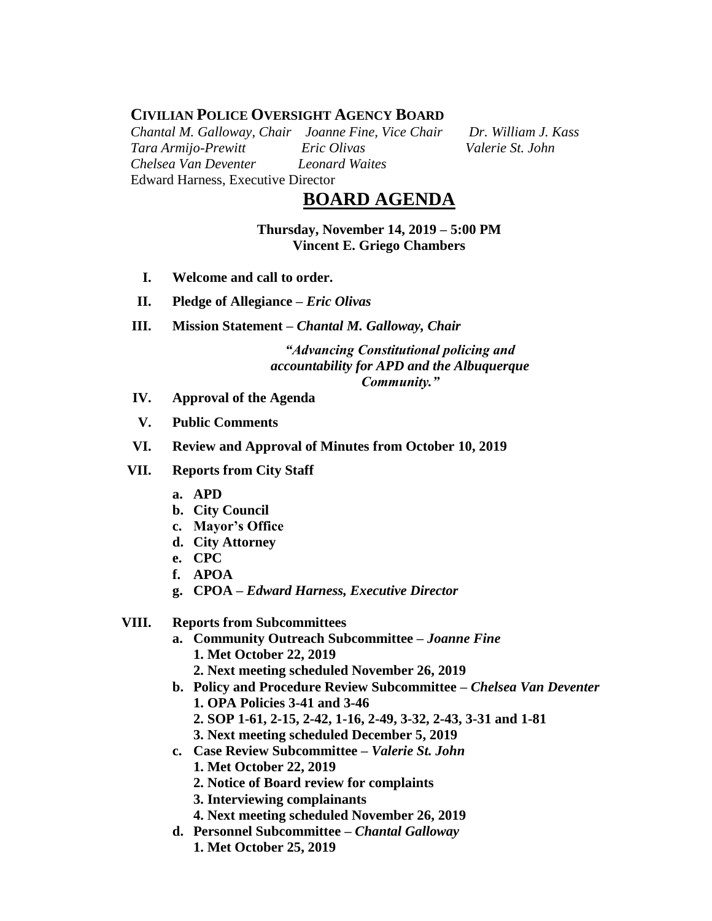## **CIVILIAN POLICE OVERSIGHT AGENCY BOARD**

*Chantal M. Galloway, Chair Joanne Fine, Vice Chair Dr. William J. Kass Tara Armijo-Prewitt Eric Olivas Valerie St. John Chelsea Van Deventer Leonard Waites* Edward Harness, Executive Director

# **BOARD AGENDA**

**Thursday, November 14, 2019 – 5:00 PM Vincent E. Griego Chambers**

- **I. Welcome and call to order.**
- **II. Pledge of Allegiance –** *Eric Olivas*
- **III. Mission Statement –** *Chantal M. Galloway, Chair*

*"Advancing Constitutional policing and accountability for APD and the Albuquerque Community."*

- **IV. Approval of the Agenda**
- **V. Public Comments**
- **VI. Review and Approval of Minutes from October 10, 2019**
- **VII. Reports from City Staff**
	- **a. APD**
	- **b. City Council**
	- **c. Mayor's Office**
	- **d. City Attorney**
	- **e. CPC**
	- **f. APOA**
	- **g. CPOA –** *Edward Harness, Executive Director*

#### **VIII. Reports from Subcommittees**

- **a. Community Outreach Subcommittee –** *Joanne Fine* **1. Met October 22, 2019**
	- **2. Next meeting scheduled November 26, 2019**
- **b. Policy and Procedure Review Subcommittee –** *Chelsea Van Deventer* **1. OPA Policies 3-41 and 3-46 2. SOP 1-61, 2-15, 2-42, 1-16, 2-49, 3-32, 2-43, 3-31 and 1-81**
	- **3. Next meeting scheduled December 5, 2019**
- **c. Case Review Subcommittee –** *Valerie St. John*
	- **1. Met October 22, 2019**
	- **2. Notice of Board review for complaints**
	- **3. Interviewing complainants**
	- **4. Next meeting scheduled November 26, 2019**
- **d. Personnel Subcommittee** *– Chantal Galloway*
	- **1. Met October 25, 2019**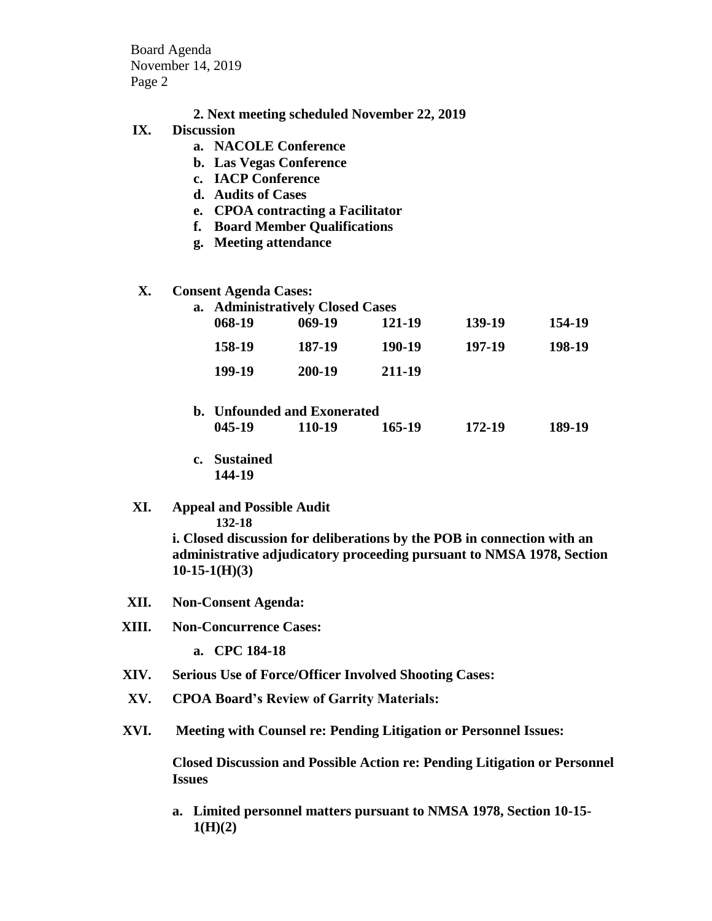Board Agenda November 14, 2019 Page 2

- **2. Next meeting scheduled November 22, 2019**
- **IX. Discussion**
	- **a. NACOLE Conference**
	- **b. Las Vegas Conference**
	- **c. IACP Conference**
	- **d. Audits of Cases**
	- **e. CPOA contracting a Facilitator**
	- **f. Board Member Qualifications**
	- **g. Meeting attendance**

#### **X. Consent Agenda Cases:**

| a. Administratively Closed Cases |          |        |        |        |
|----------------------------------|----------|--------|--------|--------|
| 068-19                           | $069-19$ | 121-19 | 139-19 | 154-19 |
| 158-19                           | 187-19   | 190-19 | 197-19 | 198-19 |
| 199-19                           | 200-19   | 211-19 |        |        |
|                                  |          |        |        |        |

- **b. Unfounded and Exonerated 045-19 110-19 165-19 172-19 189-19**
- **c. Sustained 144-19**
- **XI. Appeal and Possible Audit**

 **132-18**

**i. Closed discussion for deliberations by the POB in connection with an administrative adjudicatory proceeding pursuant to NMSA 1978, Section 10-15-1(H)(3)**

- **XII. Non-Consent Agenda:**
- **XIII. Non-Concurrence Cases:**

**a. CPC 184-18**

- **XIV. Serious Use of Force/Officer Involved Shooting Cases:**
- **XV. CPOA Board's Review of Garrity Materials:**
- **XVI. Meeting with Counsel re: Pending Litigation or Personnel Issues:**

**Closed Discussion and Possible Action re: Pending Litigation or Personnel Issues**

**a. Limited personnel matters pursuant to NMSA 1978, Section 10-15- 1(H)(2)**